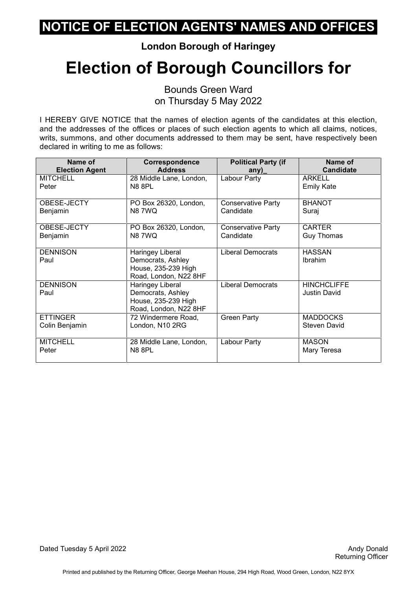**London Borough of Haringey**

# **Election of Borough Councillors for**

Bounds Green Ward on Thursday 5 May 2022

| Name of                                           | Correspondence<br><b>Address</b>                                                      | <b>Political Party (if</b> | Name of<br><b>Candidate</b>               |
|---------------------------------------------------|---------------------------------------------------------------------------------------|----------------------------|-------------------------------------------|
| <b>Election Agent</b><br><b>MITCHELL</b><br>Peter | 28 Middle Lane, London,<br><b>N8 8PL</b>                                              | any)<br>Labour Party       | <b>ARKELL</b><br><b>Emily Kate</b>        |
| OBESE-JECTY                                       | PO Box 26320, London,                                                                 | <b>Conservative Party</b>  | <b>BHANOT</b>                             |
| Benjamin                                          | <b>N87WQ</b>                                                                          | Candidate                  | Suraj                                     |
| OBESE-JECTY                                       | PO Box 26320, London,                                                                 | <b>Conservative Party</b>  | <b>CARTER</b>                             |
| Benjamin                                          | <b>N87WQ</b>                                                                          | Candidate                  | <b>Guy Thomas</b>                         |
| <b>DENNISON</b><br>Paul                           | Haringey Liberal<br>Democrats, Ashley<br>House, 235-239 High<br>Road, London, N22 8HF | <b>Liberal Democrats</b>   | <b>HASSAN</b><br><b>Ibrahim</b>           |
| <b>DENNISON</b><br>Paul                           | Haringey Liberal<br>Democrats, Ashley<br>House, 235-239 High<br>Road, London, N22 8HF | <b>Liberal Democrats</b>   | <b>HINCHCLIFFE</b><br><b>Justin David</b> |
| <b>ETTINGER</b>                                   | 72 Windermere Road,                                                                   | <b>Green Party</b>         | <b>MADDOCKS</b>                           |
| Colin Benjamin                                    | London, N10 2RG                                                                       |                            | <b>Steven David</b>                       |
| <b>MITCHELL</b>                                   | 28 Middle Lane, London,                                                               | Labour Party               | <b>MASON</b>                              |
| Peter                                             | <b>N8 8PL</b>                                                                         |                            | Mary Teresa                               |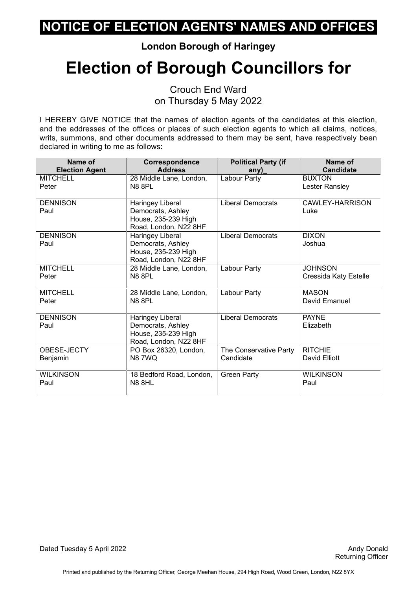**London Borough of Haringey**

# **Election of Borough Councillors for**

Crouch End Ward on Thursday 5 May 2022

I HEREBY GIVE NOTICE that the names of election agents of the candidates at this election, and the addresses of the offices or places of such election agents to which all claims, notices, writs, summons, and other documents addressed to them may be sent, have respectively been declared in writing to me as follows:

| Name of                 | Correspondence                                                                        | <b>Political Party (if</b> | Name of                   |
|-------------------------|---------------------------------------------------------------------------------------|----------------------------|---------------------------|
| <b>Election Agent</b>   | <b>Address</b>                                                                        | any)                       | <b>Candidate</b>          |
| <b>MITCHELL</b>         | 28 Middle Lane, London,                                                               | Labour Party               | <b>BUXTON</b>             |
| Peter                   | <b>N8 8PL</b>                                                                         |                            | Lester Ransley            |
| <b>DENNISON</b><br>Paul | Haringey Liberal<br>Democrats, Ashley<br>House, 235-239 High<br>Road, London, N22 8HF | <b>Liberal Democrats</b>   | CAWLEY-HARRISON<br>Luke   |
| <b>DENNISON</b><br>Paul | Haringey Liberal<br>Democrats, Ashley<br>House, 235-239 High<br>Road, London, N22 8HF | <b>Liberal Democrats</b>   | <b>DIXON</b><br>Joshua    |
| <b>MITCHELL</b>         | 28 Middle Lane, London,                                                               | Labour Party               | <b>JOHNSON</b>            |
| Peter                   | <b>N8 8PL</b>                                                                         |                            | Cressida Katy Estelle     |
| <b>MITCHELL</b>         | 28 Middle Lane, London,                                                               | Labour Party               | <b>MASON</b>              |
| Peter                   | <b>N8 8PL</b>                                                                         |                            | David Emanuel             |
| <b>DENNISON</b><br>Paul | Haringey Liberal<br>Democrats, Ashley<br>House, 235-239 High<br>Road, London, N22 8HF | <b>Liberal Democrats</b>   | <b>PAYNE</b><br>Elizabeth |
| OBESE-JECTY             | PO Box 26320, London,                                                                 | The Conservative Party     | <b>RITCHIE</b>            |
| Benjamin                | <b>N8 7WQ</b>                                                                         | Candidate                  | David Elliott             |
| <b>WILKINSON</b>        | 18 Bedford Road, London,                                                              | <b>Green Party</b>         | <b>WILKINSON</b>          |
| Paul                    | <b>N8 8HL</b>                                                                         |                            | Paul                      |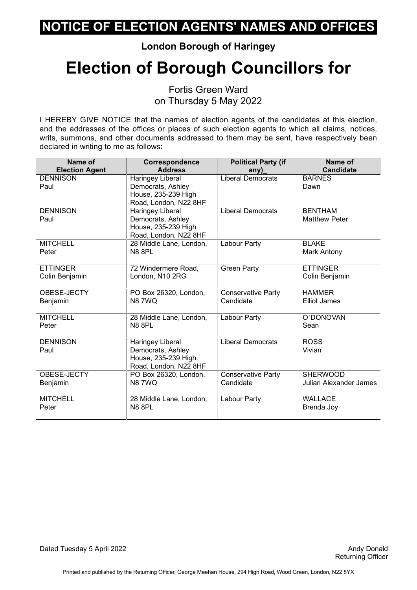**London Borough of Haringey**

# **Election of Borough Councillors for**

Fortis Green Ward on Thursday 5 May 2022

| Name of               | Correspondence          | <b>Political Party (if</b> | Name of                |
|-----------------------|-------------------------|----------------------------|------------------------|
| <b>Election Agent</b> | <b>Address</b>          | any)                       | <b>Candidate</b>       |
| <b>DENNISON</b>       | Haringey Liberal        | <b>Liberal Democrats</b>   | <b>BARNES</b>          |
| Paul                  | Democrats, Ashley       |                            | Dawn                   |
|                       | House, 235-239 High     |                            |                        |
|                       | Road, London, N22 8HF   |                            |                        |
| <b>DENNISON</b>       | <b>Haringey Liberal</b> | <b>Liberal Democrats</b>   | <b>BENTHAM</b>         |
| Paul                  | Democrats, Ashley       |                            | <b>Matthew Peter</b>   |
|                       | House, 235-239 High     |                            |                        |
|                       | Road, London, N22 8HF   |                            |                        |
| <b>MITCHELL</b>       | 28 Middle Lane, London, | Labour Party               | <b>BLAKE</b>           |
| Peter                 | <b>N8 8PL</b>           |                            | Mark Antony            |
|                       |                         |                            |                        |
| <b>ETTINGER</b>       | 72 Windermere Road,     | <b>Green Party</b>         | <b>ETTINGER</b>        |
| Colin Benjamin        | London, N10 2RG         |                            | Colin Benjamin         |
|                       |                         |                            |                        |
| OBESE-JECTY           | PO Box 26320, London,   | <b>Conservative Party</b>  | <b>HAMMER</b>          |
| Benjamin              | <b>N87WQ</b>            | Candidate                  | <b>Elliot James</b>    |
|                       |                         |                            |                        |
| <b>MITCHELL</b>       | 28 Middle Lane, London, | Labour Party               | O'DONOVAN              |
| Peter                 | <b>N8 8PL</b>           |                            | Sean                   |
|                       |                         |                            |                        |
| <b>DENNISON</b>       | Haringey Liberal        | <b>Liberal Democrats</b>   | <b>ROSS</b>            |
| Paul                  | Democrats, Ashley       |                            | Vivian                 |
|                       | House, 235-239 High     |                            |                        |
|                       | Road, London, N22 8HF   |                            |                        |
| OBESE-JECTY           | PO Box 26320, London,   | Conservative Party         | <b>SHERWOOD</b>        |
| Benjamin              | <b>N87WQ</b>            | Candidate                  | Julian Alexander James |
|                       |                         |                            |                        |
| <b>MITCHELL</b>       | 28 Middle Lane, London, | Labour Party               | <b>WALLACE</b>         |
| Peter                 | <b>N8 8PL</b>           |                            | Brenda Joy             |
|                       |                         |                            |                        |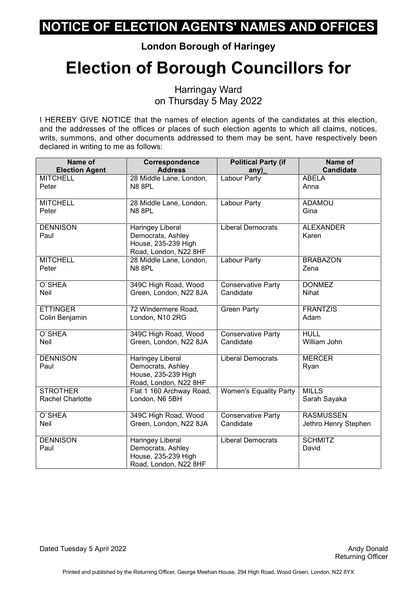**London Borough of Haringey**

# **Election of Borough Councillors for**

Harringay Ward on Thursday 5 May 2022

I HEREBY GIVE NOTICE that the names of election agents of the candidates at this election, and the addresses of the offices or places of such election agents to which all claims, notices, writs, summons, and other documents addressed to them may be sent, have respectively been declared in writing to me as follows:

| Name of                 | Correspondence<br><b>Address</b>                                                             | <b>Political Party (if</b>    | Name of<br><b>Candidate</b> |
|-------------------------|----------------------------------------------------------------------------------------------|-------------------------------|-----------------------------|
| <b>Election Agent</b>   |                                                                                              | any)                          |                             |
| <b>MITCHELL</b>         | 28 Middle Lane, London,                                                                      | Labour Party                  | <b>ABELA</b>                |
| Peter                   | N88PL                                                                                        |                               | Anna                        |
| <b>MITCHELL</b>         | 28 Middle Lane, London,                                                                      | Labour Party                  | <b>ADAMOU</b>               |
| Peter                   | N88PL                                                                                        |                               | Gina                        |
| <b>DENNISON</b><br>Paul | Haringey Liberal<br>Democrats, Ashley<br>House, 235-239 High<br>Road, London, N22 8HF        | <b>Liberal Democrats</b>      | <b>ALEXANDER</b><br>Karen   |
| <b>MITCHELL</b>         | 28 Middle Lane, London,                                                                      | Labour Party                  | <b>BRABAZON</b>             |
| Peter                   | <b>N8 8PL</b>                                                                                |                               | Zena                        |
| O'SHEA                  | 349C High Road, Wood                                                                         | <b>Conservative Party</b>     | <b>DONMEZ</b>               |
| Neil                    | Green, London, N22 8JA                                                                       | Candidate                     | <b>Nihat</b>                |
| <b>ETTINGER</b>         | 72 Windermere Road,                                                                          | <b>Green Party</b>            | <b>FRANTZIS</b>             |
| Colin Benjamin          | London, N10 2RG                                                                              |                               | Adam                        |
| O'SHEA                  | 349C High Road, Wood                                                                         | <b>Conservative Party</b>     | <b>HULL</b>                 |
| Neil                    | Green, London, N22 8JA                                                                       | Candidate                     | William John                |
| <b>DENNISON</b><br>Paul | Haringey Liberal<br>Democrats, Ashley<br>House, 235-239 High<br>Road, London, N22 8HF        | <b>Liberal Democrats</b>      | <b>MERCER</b><br>Ryan       |
| <b>STROTHER</b>         | Flat 1 160 Archway Road,                                                                     | <b>Women's Equality Party</b> | <b>MILLS</b>                |
| <b>Rachel Charlotte</b> | London, N6 5BH                                                                               |                               | Sarah Sayaka                |
| O'SHEA                  | 349C High Road, Wood                                                                         | <b>Conservative Party</b>     | <b>RASMUSSEN</b>            |
| Neil                    | Green, London, N22 8JA                                                                       | Candidate                     | Jethro Henry Stephen        |
| <b>DENNISON</b><br>Paul | <b>Haringey Liberal</b><br>Democrats, Ashley<br>House, 235-239 High<br>Road, London, N22 8HF | <b>Liberal Democrats</b>      | <b>SCHMITZ</b><br>David     |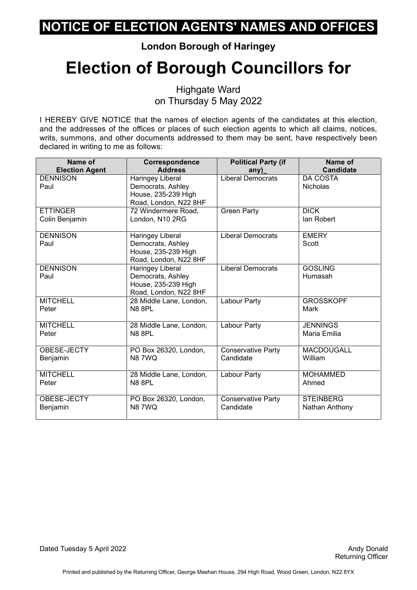**London Borough of Haringey**

# **Election of Borough Councillors for**

Highgate Ward on Thursday 5 May 2022

| Name of                 | Correspondence                                                                               | <b>Political Party (if</b> | Name of                            |
|-------------------------|----------------------------------------------------------------------------------------------|----------------------------|------------------------------------|
| <b>Election Agent</b>   | <b>Address</b>                                                                               | any)                       | <b>Candidate</b>                   |
| <b>DENNISON</b><br>Paul | Haringey Liberal<br>Democrats, Ashley<br>House, 235-239 High                                 | <b>Liberal Democrats</b>   | <b>DA COSTA</b><br><b>Nicholas</b> |
|                         | Road, London, N22 8HF                                                                        |                            |                                    |
| <b>ETTINGER</b>         | 72 Windermere Road,                                                                          | <b>Green Party</b>         | <b>DICK</b>                        |
| Colin Benjamin          | London, N10 2RG                                                                              |                            | lan Robert                         |
| <b>DENNISON</b><br>Paul | <b>Haringey Liberal</b><br>Democrats, Ashley<br>House, 235-239 High<br>Road, London, N22 8HF | <b>Liberal Democrats</b>   | <b>EMERY</b><br>Scott              |
| <b>DENNISON</b><br>Paul | Haringey Liberal<br>Democrats, Ashley<br>House, 235-239 High<br>Road, London, N22 8HF        | <b>Liberal Democrats</b>   | <b>GOSLING</b><br>Humasah          |
| <b>MITCHELL</b>         | 28 Middle Lane, London,                                                                      | Labour Party               | <b>GROSSKOPF</b>                   |
| Peter                   | <b>N8 8PL</b>                                                                                |                            | Mark                               |
| <b>MITCHELL</b>         | 28 Middle Lane, London,                                                                      | Labour Party               | <b>JENNINGS</b>                    |
| Peter                   | <b>N8 8PL</b>                                                                                |                            | Maria Emilia                       |
| OBESE-JECTY             | PO Box 26320, London,                                                                        | <b>Conservative Party</b>  | <b>MACDOUGALL</b>                  |
| Benjamin                | <b>N87WQ</b>                                                                                 | Candidate                  | William                            |
| <b>MITCHELL</b>         | 28 Middle Lane, London,                                                                      | Labour Party               | <b>MOHAMMED</b>                    |
| Peter                   | <b>N8 8PL</b>                                                                                |                            | Ahmed                              |
| OBESE-JECTY             | PO Box 26320, London,                                                                        | <b>Conservative Party</b>  | <b>STEINBERG</b>                   |
| Benjamin                | <b>N87WQ</b>                                                                                 | Candidate                  | Nathan Anthony                     |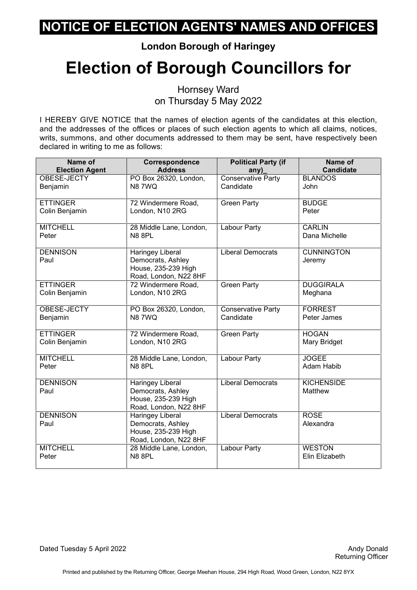**London Borough of Haringey**

# **Election of Borough Councillors for**

Hornsey Ward on Thursday 5 May 2022

I HEREBY GIVE NOTICE that the names of election agents of the candidates at this election, and the addresses of the offices or places of such election agents to which all claims, notices, writs, summons, and other documents addressed to them may be sent, have respectively been declared in writing to me as follows:

| Name of                 | Correspondence                                                                               | <b>Political Party (if</b> | Name of                      |
|-------------------------|----------------------------------------------------------------------------------------------|----------------------------|------------------------------|
| <b>Election Agent</b>   | <b>Address</b>                                                                               | any)                       | <b>Candidate</b>             |
| OBESE-JECTY             | PO Box 26320, London,                                                                        | Conservative Party         | <b>BLANDOS</b>               |
| Benjamin                | <b>N87WQ</b>                                                                                 | Candidate                  | John                         |
| <b>ETTINGER</b>         | 72 Windermere Road,                                                                          | <b>Green Party</b>         | <b>BUDGE</b>                 |
| Colin Benjamin          | London, N10 2RG                                                                              |                            | Peter                        |
| <b>MITCHELL</b>         | 28 Middle Lane, London,                                                                      | Labour Party               | <b>CARLIN</b>                |
| Peter                   | <b>N8 8PL</b>                                                                                |                            | Dana Michelle                |
| <b>DENNISON</b><br>Paul | <b>Haringey Liberal</b><br>Democrats, Ashley<br>House, 235-239 High<br>Road, London, N22 8HF | <b>Liberal Democrats</b>   | <b>CUNNINGTON</b><br>Jeremy  |
| <b>ETTINGER</b>         | 72 Windermere Road,                                                                          | <b>Green Party</b>         | <b>DUGGIRALA</b>             |
| Colin Benjamin          | London, N10 2RG                                                                              |                            | Meghana                      |
| OBESE-JECTY             | PO Box 26320, London,                                                                        | Conservative Party         | <b>FORREST</b>               |
| Benjamin                | <b>N87WQ</b>                                                                                 | Candidate                  | Peter James                  |
| <b>ETTINGER</b>         | 72 Windermere Road,                                                                          | <b>Green Party</b>         | <b>HOGAN</b>                 |
| Colin Benjamin          | London, N10 2RG                                                                              |                            | Mary Bridget                 |
| <b>MITCHELL</b>         | 28 Middle Lane, London,                                                                      | Labour Party               | <b>JOGEE</b>                 |
| Peter                   | <b>N8 8PL</b>                                                                                |                            | Adam Habib                   |
| <b>DENNISON</b><br>Paul | Haringey Liberal<br>Democrats, Ashley<br>House, 235-239 High<br>Road, London, N22 8HF        | <b>Liberal Democrats</b>   | <b>KICHENSIDE</b><br>Matthew |
| <b>DENNISON</b><br>Paul | <b>Haringey Liberal</b><br>Democrats, Ashley<br>House, 235-239 High<br>Road, London, N22 8HF | <b>Liberal Democrats</b>   | <b>ROSE</b><br>Alexandra     |
| <b>MITCHELL</b>         | 28 Middle Lane, London,                                                                      | Labour Party               | <b>WESTON</b>                |
| Peter                   | <b>N8 8PL</b>                                                                                |                            | Elin Elizabeth               |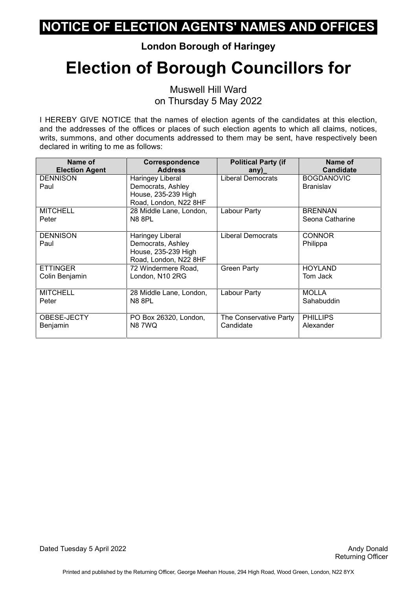**London Borough of Haringey**

# **Election of Borough Councillors for**

Muswell Hill Ward on Thursday 5 May 2022

I HEREBY GIVE NOTICE that the names of election agents of the candidates at this election, and the addresses of the offices or places of such election agents to which all claims, notices, writs, summons, and other documents addressed to them may be sent, have respectively been declared in writing to me as follows:

| Name of               | Correspondence          | <b>Political Party (if</b> | Name of           |
|-----------------------|-------------------------|----------------------------|-------------------|
| <b>Election Agent</b> | <b>Address</b>          | any)                       | <b>Candidate</b>  |
| <b>DENNISON</b>       | Haringey Liberal        | Liberal Democrats          | <b>BOGDANOVIC</b> |
| Paul                  | Democrats, Ashley       |                            | <b>Branislav</b>  |
|                       | House, 235-239 High     |                            |                   |
|                       | Road, London, N22 8HF   |                            |                   |
| <b>MITCHELL</b>       | 28 Middle Lane, London, | Labour Party               | <b>BRENNAN</b>    |
| Peter                 | <b>N8 8PL</b>           |                            | Seona Catharine   |
|                       |                         |                            |                   |
| <b>DENNISON</b>       | Haringey Liberal        | <b>Liberal Democrats</b>   | <b>CONNOR</b>     |
| Paul                  | Democrats, Ashley       |                            | Philippa          |
|                       | House, 235-239 High     |                            |                   |
|                       | Road, London, N22 8HF   |                            |                   |
| <b>ETTINGER</b>       | 72 Windermere Road,     | <b>Green Party</b>         | <b>HOYLAND</b>    |
| Colin Benjamin        | London, N10 2RG         |                            | Tom Jack          |
|                       |                         |                            |                   |
| <b>MITCHELL</b>       | 28 Middle Lane, London, | Labour Party               | <b>MOLLA</b>      |
| Peter                 | <b>N8 8PL</b>           |                            | Sahabuddin        |
|                       |                         |                            |                   |
| OBESE-JECTY           | PO Box 26320, London,   | The Conservative Party     | <b>PHILLIPS</b>   |
| Benjamin              | <b>N87WQ</b>            | Candidate                  | Alexander         |
|                       |                         |                            |                   |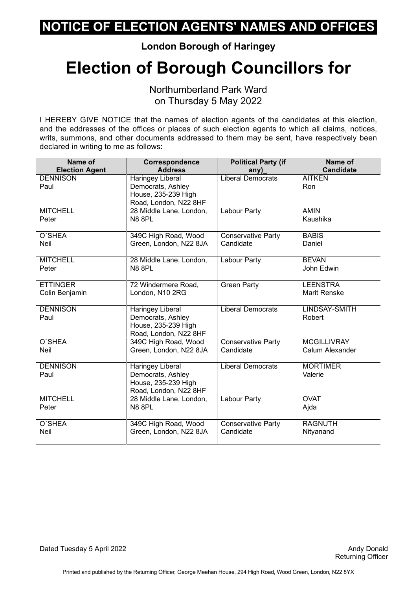**London Borough of Haringey**

## **Election of Borough Councillors for**

Northumberland Park Ward on Thursday 5 May 2022

| Name of                 | Correspondence                                                                               | <b>Political Party (if</b> | Name of                        |
|-------------------------|----------------------------------------------------------------------------------------------|----------------------------|--------------------------------|
| <b>Election Agent</b>   | <b>Address</b>                                                                               | any)                       | <b>Candidate</b>               |
| <b>DENNISON</b><br>Paul | Haringey Liberal<br>Democrats, Ashley<br>House, 235-239 High<br>Road, London, N22 8HF        | <b>Liberal Democrats</b>   | <b>AITKEN</b><br>Ron           |
| <b>MITCHELL</b>         | 28 Middle Lane, London,                                                                      | Labour Party               | <b>AMIN</b>                    |
| Peter                   | <b>N8 8PL</b>                                                                                |                            | Kaushika                       |
| O'SHEA                  | 349C High Road, Wood                                                                         | <b>Conservative Party</b>  | <b>BABIS</b>                   |
| <b>Neil</b>             | Green, London, N22 8JA                                                                       | Candidate                  | Daniel                         |
| <b>MITCHELL</b>         | 28 Middle Lane, London,                                                                      | Labour Party               | <b>BEVAN</b>                   |
| Peter                   | <b>N8 8PL</b>                                                                                |                            | John Edwin                     |
| <b>ETTINGER</b>         | 72 Windermere Road,                                                                          | <b>Green Party</b>         | <b>LEENSTRA</b>                |
| Colin Benjamin          | London, N10 2RG                                                                              |                            | <b>Marit Renske</b>            |
| <b>DENNISON</b><br>Paul | Haringey Liberal<br>Democrats, Ashley<br>House, 235-239 High<br>Road, London, N22 8HF        | <b>Liberal Democrats</b>   | <b>LINDSAY-SMITH</b><br>Robert |
| O'SHEA                  | 349C High Road, Wood                                                                         | Conservative Party         | <b>MCGILLIVRAY</b>             |
| <b>Neil</b>             | Green, London, N22 8JA                                                                       | Candidate                  | Calum Alexander                |
| <b>DENNISON</b><br>Paul | <b>Haringey Liberal</b><br>Democrats, Ashley<br>House, 235-239 High<br>Road, London, N22 8HF | Liberal Democrats          | <b>MORTIMER</b><br>Valerie     |
| <b>MITCHELL</b>         | 28 Middle Lane, London,                                                                      | Labour Party               | <b>OVAT</b>                    |
| Peter                   | <b>N8 8PL</b>                                                                                |                            | Ajda                           |
| O'SHEA                  | 349C High Road, Wood                                                                         | Conservative Party         | <b>RAGNUTH</b>                 |
| Neil                    | Green, London, N22 8JA                                                                       | Candidate                  | Nityanand                      |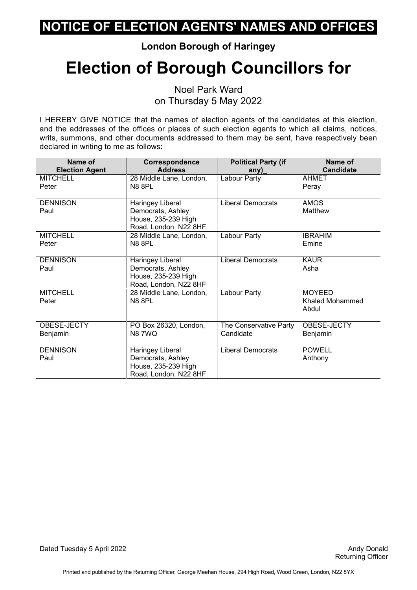**London Borough of Haringey**

# **Election of Borough Councillors for**

Noel Park Ward on Thursday 5 May 2022

I HEREBY GIVE NOTICE that the names of election agents of the candidates at this election, and the addresses of the offices or places of such election agents to which all claims, notices, writs, summons, and other documents addressed to them may be sent, have respectively been declared in writing to me as follows:

| Name of               | Correspondence          | <b>Political Party (if</b> | Name of          |
|-----------------------|-------------------------|----------------------------|------------------|
| <b>Election Agent</b> | <b>Address</b>          | any)                       | <b>Candidate</b> |
| <b>MITCHELL</b>       | 28 Middle Lane, London, | Labour Party               | <b>AHMET</b>     |
| Peter                 | <b>N8 8PL</b>           |                            | Peray            |
| <b>DENNISON</b>       | Haringey Liberal        | <b>Liberal Democrats</b>   | <b>AMOS</b>      |
| Paul                  | Democrats, Ashley       |                            | Matthew          |
|                       | House, 235-239 High     |                            |                  |
|                       | Road, London, N22 8HF   |                            |                  |
| <b>MITCHELL</b>       | 28 Middle Lane, London, | Labour Party               | <b>IBRAHIM</b>   |
| Peter                 | <b>N8 8PL</b>           |                            | Emine            |
|                       |                         |                            |                  |
| <b>DENNISON</b>       | Haringey Liberal        | <b>Liberal Democrats</b>   | <b>KAUR</b>      |
| Paul                  | Democrats, Ashley       |                            | Asha             |
|                       | House, 235-239 High     |                            |                  |
|                       | Road, London, N22 8HF   |                            |                  |
| <b>MITCHELL</b>       | 28 Middle Lane, London, | Labour Party               | <b>MOYEED</b>    |
| Peter                 | <b>N8 8PL</b>           |                            | Khaled Mohammed  |
|                       |                         |                            | Abdul            |
|                       |                         |                            |                  |
| OBESE-JECTY           | PO Box 26320, London,   | The Conservative Party     | OBESE-JECTY      |
| Benjamin              | <b>N87WQ</b>            | Candidate                  | Benjamin         |
|                       |                         |                            |                  |
| <b>DENNISON</b>       | Haringey Liberal        | <b>Liberal Democrats</b>   | <b>POWELL</b>    |
| Paul                  | Democrats, Ashley       |                            | Anthony          |
|                       | House, 235-239 High     |                            |                  |
|                       | Road, London, N22 8HF   |                            |                  |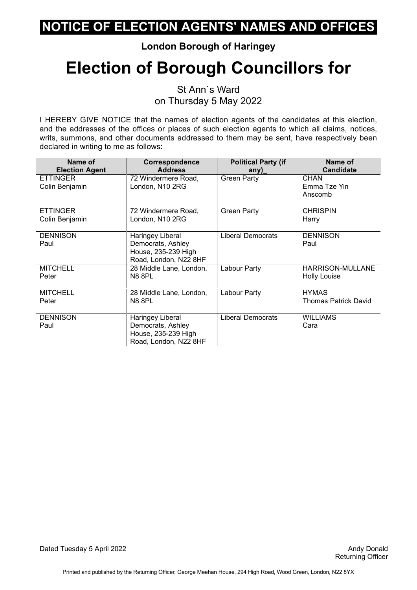**London Borough of Haringey**

# **Election of Borough Councillors for**

St Ann`s Ward on Thursday 5 May 2022

I HEREBY GIVE NOTICE that the names of election agents of the candidates at this election, and the addresses of the offices or places of such election agents to which all claims, notices, writs, summons, and other documents addressed to them may be sent, have respectively been declared in writing to me as follows:

| Name of                           | Correspondence                                                                        | <b>Political Party (if</b> | Name of                                |
|-----------------------------------|---------------------------------------------------------------------------------------|----------------------------|----------------------------------------|
| <b>Election Agent</b>             | <b>Address</b>                                                                        | any)                       | <b>Candidate</b>                       |
| <b>ETTINGER</b><br>Colin Benjamin | 72 Windermere Road,<br>London, N10 2RG                                                | <b>Green Party</b>         | <b>CHAN</b><br>Emma Tze Yin<br>Anscomb |
| <b>ETTINGER</b>                   | 72 Windermere Road,                                                                   | <b>Green Party</b>         | <b>CHRISPIN</b>                        |
| Colin Benjamin                    | London, N10 2RG                                                                       |                            | Harry                                  |
| <b>DENNISON</b><br>Paul           | Haringey Liberal<br>Democrats, Ashley<br>House, 235-239 High<br>Road, London, N22 8HF | <b>Liberal Democrats</b>   | <b>DENNISON</b><br>Paul                |
| <b>MITCHELL</b>                   | 28 Middle Lane, London,                                                               | Labour Party               | <b>HARRISON-MULLANE</b>                |
| Peter                             | <b>N8 8PL</b>                                                                         |                            | <b>Holly Louise</b>                    |
| <b>MITCHELL</b>                   | 28 Middle Lane, London,                                                               | Labour Party               | <b>HYMAS</b>                           |
| Peter                             | <b>N8 8PL</b>                                                                         |                            | <b>Thomas Patrick David</b>            |
| <b>DENNISON</b><br>Paul           | Haringey Liberal<br>Democrats, Ashley<br>House, 235-239 High<br>Road, London, N22 8HF | <b>Liberal Democrats</b>   | <b>WILLIAMS</b><br>Cara                |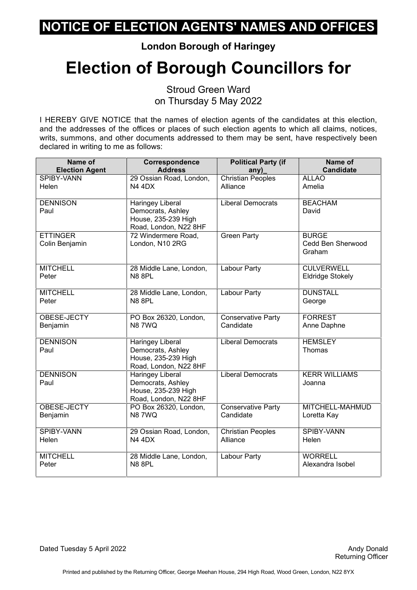**London Borough of Haringey**

# **Election of Borough Councillors for**

Stroud Green Ward on Thursday 5 May 2022

I HEREBY GIVE NOTICE that the names of election agents of the candidates at this election, and the addresses of the offices or places of such election agents to which all claims, notices, writs, summons, and other documents addressed to them may be sent, have respectively been declared in writing to me as follows:

| Name of                           | Correspondence                                                                               | <b>Political Party (if</b> | Name of                                     |
|-----------------------------------|----------------------------------------------------------------------------------------------|----------------------------|---------------------------------------------|
| <b>Election Agent</b>             | <b>Address</b>                                                                               | any)                       | <b>Candidate</b>                            |
| <b>SPIBY-VANN</b>                 | 29 Ossian Road, London,                                                                      | <b>Christian Peoples</b>   | <b>ALLAO</b>                                |
| Helen                             | <b>N4 4DX</b>                                                                                | Alliance                   | Amelia                                      |
| <b>DENNISON</b><br>Paul           | Haringey Liberal<br>Democrats, Ashley<br>House, 235-239 High                                 | <b>Liberal Democrats</b>   | <b>BEACHAM</b><br>David                     |
|                                   | Road, London, N22 8HF                                                                        |                            |                                             |
| <b>ETTINGER</b><br>Colin Benjamin | 72 Windermere Road,<br>London, N10 2RG                                                       | <b>Green Party</b>         | <b>BURGE</b><br>Cedd Ben Sherwood<br>Graham |
| <b>MITCHELL</b>                   | 28 Middle Lane, London,                                                                      | Labour Party               | <b>CULVERWELL</b>                           |
| Peter                             | <b>N8 8PL</b>                                                                                |                            | <b>Eldridge Stokely</b>                     |
| <b>MITCHELL</b>                   | 28 Middle Lane, London,                                                                      | Labour Party               | <b>DUNSTALL</b>                             |
| Peter                             | <b>N8 8PL</b>                                                                                |                            | George                                      |
| OBESE-JECTY                       | PO Box 26320, London,                                                                        | <b>Conservative Party</b>  | <b>FORREST</b>                              |
| Benjamin                          | N87WQ                                                                                        | Candidate                  | Anne Daphne                                 |
| <b>DENNISON</b><br>Paul           | <b>Haringey Liberal</b><br>Democrats, Ashley<br>House, 235-239 High<br>Road, London, N22 8HF | <b>Liberal Democrats</b>   | <b>HEMSLEY</b><br>Thomas                    |
| <b>DENNISON</b><br>Paul           | Haringey Liberal<br>Democrats, Ashley<br>House, 235-239 High<br>Road, London, N22 8HF        | <b>Liberal Democrats</b>   | <b>KERR WILLIAMS</b><br>Joanna              |
| OBESE-JECTY                       | PO Box 26320, London.                                                                        | <b>Conservative Party</b>  | MITCHELL-MAHMUD                             |
| Benjamin                          | <b>N87WQ</b>                                                                                 | Candidate                  | Loretta Kay                                 |
| <b>SPIBY-VANN</b>                 | 29 Ossian Road, London,                                                                      | <b>Christian Peoples</b>   | <b>SPIBY-VANN</b>                           |
| Helen                             | <b>N4 4DX</b>                                                                                | Alliance                   | Helen                                       |
| <b>MITCHELL</b>                   | 28 Middle Lane, London,                                                                      | Labour Party               | <b>WORRELL</b>                              |
| Peter                             | <b>N8 8PL</b>                                                                                |                            | Alexandra Isobel                            |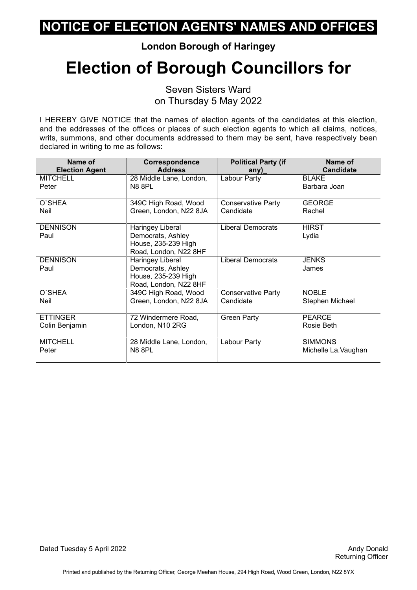**London Borough of Haringey**

# **Election of Borough Councillors for**

Seven Sisters Ward on Thursday 5 May 2022

I HEREBY GIVE NOTICE that the names of election agents of the candidates at this election, and the addresses of the offices or places of such election agents to which all claims, notices, writs, summons, and other documents addressed to them may be sent, have respectively been declared in writing to me as follows:

| Name of                 | <b>Correspondence</b>                                                                 | <b>Political Party (if</b> | Name of               |
|-------------------------|---------------------------------------------------------------------------------------|----------------------------|-----------------------|
| <b>Election Agent</b>   | <b>Address</b>                                                                        | any)                       | <b>Candidate</b>      |
| <b>MITCHELL</b>         | 28 Middle Lane, London,                                                               | Labour Party               | <b>BLAKE</b>          |
| Peter                   | N8 8PL                                                                                |                            | Barbara Joan          |
| O'SHEA                  | 349C High Road, Wood                                                                  | <b>Conservative Party</b>  | <b>GEORGE</b>         |
| Neil                    | Green, London, N22 8JA                                                                | Candidate                  | Rachel                |
| <b>DENNISON</b><br>Paul | Haringey Liberal<br>Democrats, Ashley<br>House, 235-239 High<br>Road, London, N22 8HF | <b>Liberal Democrats</b>   | <b>HIRST</b><br>Lydia |
| <b>DENNISON</b><br>Paul | Haringey Liberal<br>Democrats, Ashley<br>House, 235-239 High<br>Road, London, N22 8HF | <b>Liberal Democrats</b>   | <b>JENKS</b><br>James |
| O'SHEA                  | 349C High Road, Wood                                                                  | <b>Conservative Party</b>  | <b>NOBLE</b>          |
| Neil                    | Green, London, N22 8JA                                                                | Candidate                  | Stephen Michael       |
| <b>ETTINGER</b>         | 72 Windermere Road,                                                                   | <b>Green Party</b>         | <b>PEARCE</b>         |
| Colin Benjamin          | London, N10 2RG                                                                       |                            | Rosie Beth            |
| <b>MITCHELL</b>         | 28 Middle Lane, London,                                                               | Labour Party               | <b>SIMMONS</b>        |
| Peter                   | <b>N8 8PL</b>                                                                         |                            | Michelle La. Vaughan  |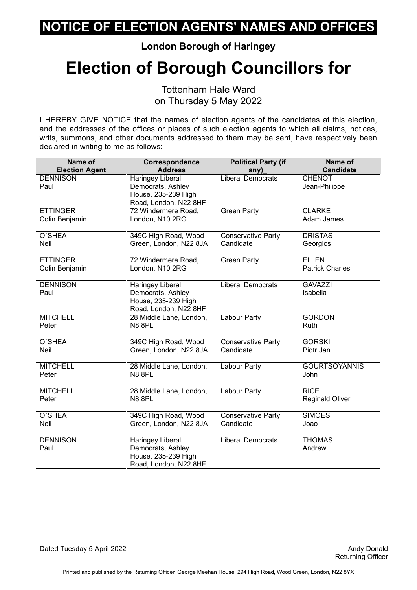**London Borough of Haringey**

# **Election of Borough Councillors for**

Tottenham Hale Ward on Thursday 5 May 2022

| Name of                 | Correspondence                                                                               | <b>Political Party (if</b> | Name of                        |
|-------------------------|----------------------------------------------------------------------------------------------|----------------------------|--------------------------------|
| <b>Election Agent</b>   | <b>Address</b>                                                                               | any)                       | <b>Candidate</b>               |
| <b>DENNISON</b><br>Paul | Haringey Liberal<br>Democrats, Ashley<br>House, 235-239 High<br>Road, London, N22 8HF        | <b>Liberal Democrats</b>   | <b>CHENOT</b><br>Jean-Philippe |
| <b>ETTINGER</b>         | 72 Windermere Road,                                                                          | <b>Green Party</b>         | <b>CLARKE</b>                  |
| Colin Benjamin          | London, N10 2RG                                                                              |                            | Adam James                     |
| O'SHEA                  | 349C High Road, Wood                                                                         | Conservative Party         | <b>DRISTAS</b>                 |
| Neil                    | Green, London, N22 8JA                                                                       | Candidate                  | Georgios                       |
| <b>ETTINGER</b>         | 72 Windermere Road,                                                                          | <b>Green Party</b>         | <b>ELLEN</b>                   |
| Colin Benjamin          | London, N10 2RG                                                                              |                            | <b>Patrick Charles</b>         |
| <b>DENNISON</b><br>Paul | <b>Haringey Liberal</b><br>Democrats, Ashley<br>House, 235-239 High<br>Road, London, N22 8HF | <b>Liberal Democrats</b>   | <b>GAVAZZI</b><br>Isabella     |
| <b>MITCHELL</b>         | 28 Middle Lane, London,                                                                      | Labour Party               | <b>GORDON</b>                  |
| Peter                   | N88PL                                                                                        |                            | Ruth                           |
| O'SHEA                  | 349C High Road, Wood                                                                         | Conservative Party         | <b>GORSKI</b>                  |
| Neil                    | Green, London, N22 8JA                                                                       | Candidate                  | Piotr Jan                      |
| <b>MITCHELL</b>         | 28 Middle Lane, London,                                                                      | <b>Labour Party</b>        | <b>GOURTSOYANNIS</b>           |
| Peter                   | <b>N8 8PL</b>                                                                                |                            | John                           |
| <b>MITCHELL</b>         | 28 Middle Lane, London,                                                                      | <b>Labour Party</b>        | <b>RICE</b>                    |
| Peter                   | <b>N8 8PL</b>                                                                                |                            | <b>Reginald Oliver</b>         |
| O'SHEA                  | 349C High Road, Wood                                                                         | <b>Conservative Party</b>  | <b>SIMOES</b>                  |
| Neil                    | Green, London, N22 8JA                                                                       | Candidate                  | Joao                           |
| <b>DENNISON</b><br>Paul | <b>Haringey Liberal</b><br>Democrats, Ashley<br>House, 235-239 High<br>Road, London, N22 8HF | <b>Liberal Democrats</b>   | <b>THOMAS</b><br>Andrew        |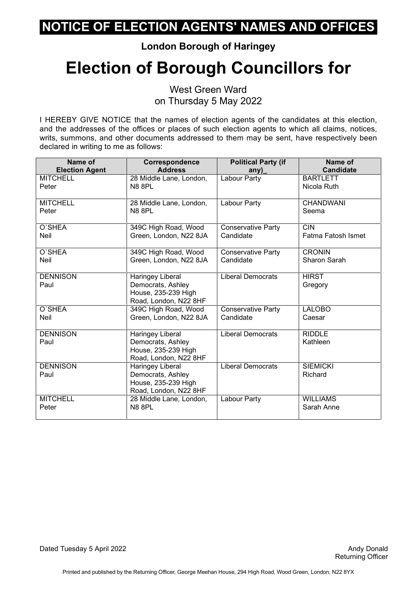**London Borough of Haringey**

# **Election of Borough Councillors for**

West Green Ward on Thursday 5 May 2022

| Name of               | Correspondence          | <b>Political Party (if</b> | Name of            |
|-----------------------|-------------------------|----------------------------|--------------------|
| <b>Election Agent</b> | <b>Address</b>          | any)                       | <b>Candidate</b>   |
| <b>MITCHELL</b>       | 28 Middle Lane, London, | Labour Party               | <b>BARTLETT</b>    |
| Peter                 | <b>N8 8PL</b>           |                            | Nicola Ruth        |
| <b>MITCHELL</b>       | 28 Middle Lane, London, | Labour Party               | <b>CHANDWANI</b>   |
| Peter                 | <b>N8 8PL</b>           |                            | Seema              |
| O'SHEA                | 349C High Road, Wood    | <b>Conservative Party</b>  | <b>CIN</b>         |
| <b>Neil</b>           | Green, London, N22 8JA  | Candidate                  | Fatma Fatosh Ismet |
| O'SHEA                | 349C High Road, Wood    | <b>Conservative Party</b>  | <b>CRONIN</b>      |
| Neil                  | Green, London, N22 8JA  | Candidate                  | Sharon Sarah       |
| <b>DENNISON</b>       | Haringey Liberal        | <b>Liberal Democrats</b>   | <b>HIRST</b>       |
| Paul                  | Democrats, Ashley       |                            | Gregory            |
|                       | House, 235-239 High     |                            |                    |
|                       | Road, London, N22 8HF   |                            |                    |
| O'SHEA                | 349C High Road, Wood    | <b>Conservative Party</b>  | <b>LALOBO</b>      |
| <b>Neil</b>           | Green, London, N22 8JA  | Candidate                  | Caesar             |
| <b>DENNISON</b>       | Haringey Liberal        | <b>Liberal Democrats</b>   | <b>RIDDLE</b>      |
| Paul                  | Democrats, Ashley       |                            | Kathleen           |
|                       | House, 235-239 High     |                            |                    |
|                       | Road, London, N22 8HF   |                            |                    |
| <b>DENNISON</b>       | Haringey Liberal        | <b>Liberal Democrats</b>   | <b>SIEMICKI</b>    |
| Paul                  | Democrats, Ashley       |                            | Richard            |
|                       | House, 235-239 High     |                            |                    |
|                       | Road, London, N22 8HF   |                            |                    |
| <b>MITCHELL</b>       | 28 Middle Lane, London, | Labour Party               | <b>WILLIAMS</b>    |
| Peter                 | <b>N8 8PL</b>           |                            | Sarah Anne         |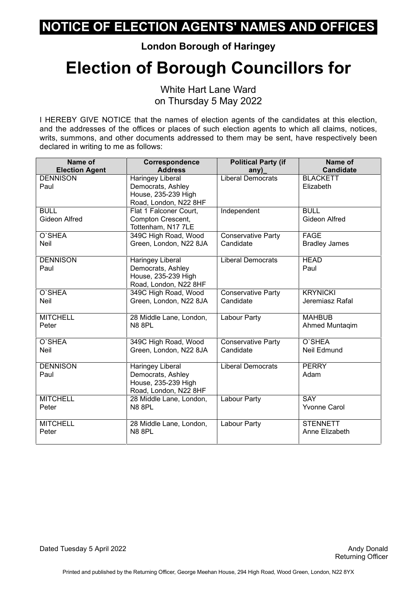**London Borough of Haringey**

## **Election of Borough Councillors for**

White Hart Lane Ward on Thursday 5 May 2022

I HEREBY GIVE NOTICE that the names of election agents of the candidates at this election, and the addresses of the offices or places of such election agents to which all claims, notices, writs, summons, and other documents addressed to them may be sent, have respectively been declared in writing to me as follows:

| Name of               | <b>Correspondence</b>                    | <b>Political Party (if</b> | Name of              |
|-----------------------|------------------------------------------|----------------------------|----------------------|
| <b>Election Agent</b> | <b>Address</b>                           | any)                       | <b>Candidate</b>     |
| <b>DENNISON</b>       | Haringey Liberal                         | <b>Liberal Democrats</b>   | <b>BLACKETT</b>      |
| Paul                  | Democrats, Ashley<br>House, 235-239 High |                            | Elizabeth            |
|                       | Road, London, N22 8HF                    |                            |                      |
| <b>BULL</b>           | Flat 1 Falconer Court,                   | Independent                | <b>BULL</b>          |
| <b>Gideon Alfred</b>  | Compton Crescent,<br>Tottenham, N17 7LE  |                            | <b>Gideon Alfred</b> |
| O'SHEA                | 349C High Road, Wood                     | Conservative Party         | <b>FAGE</b>          |
| Neil                  | Green, London, N22 8JA                   | Candidate                  | <b>Bradley James</b> |
| <b>DENNISON</b>       | Haringey Liberal                         | <b>Liberal Democrats</b>   | <b>HEAD</b>          |
| Paul                  | Democrats, Ashley                        |                            | Paul                 |
|                       | House, 235-239 High                      |                            |                      |
|                       | Road, London, N22 8HF                    |                            |                      |
| O'SHEA                | 349C High Road, Wood                     | <b>Conservative Party</b>  | <b>KRYNICKI</b>      |
| Neil                  | Green, London, N22 8JA                   | Candidate                  | Jeremiasz Rafal      |
| <b>MITCHELL</b>       | 28 Middle Lane, London,                  | <b>Labour Party</b>        | <b>MAHBUB</b>        |
| Peter                 | <b>N8 8PL</b>                            |                            | Ahmed Muntaqim       |
| O'SHEA                | 349C High Road, Wood                     | Conservative Party         | O'SHEA               |
| <b>Neil</b>           | Green, London, N22 8JA                   | Candidate                  | <b>Neil Edmund</b>   |
| <b>DENNISON</b>       | <b>Haringey Liberal</b>                  | <b>Liberal Democrats</b>   | <b>PERRY</b>         |
| Paul                  | Democrats, Ashley                        |                            | Adam                 |
|                       | House, 235-239 High                      |                            |                      |
|                       | Road, London, N22 8HF                    |                            |                      |
| <b>MITCHELL</b>       | 28 Middle Lane, London,                  | Labour Party               | <b>SAY</b>           |
| Peter                 | <b>N8 8PL</b>                            |                            | <b>Yvonne Carol</b>  |
| <b>MITCHELL</b>       | 28 Middle Lane, London,                  | Labour Party               | <b>STENNETT</b>      |
| Peter                 | <b>N8 8PL</b>                            |                            | Anne Elizabeth       |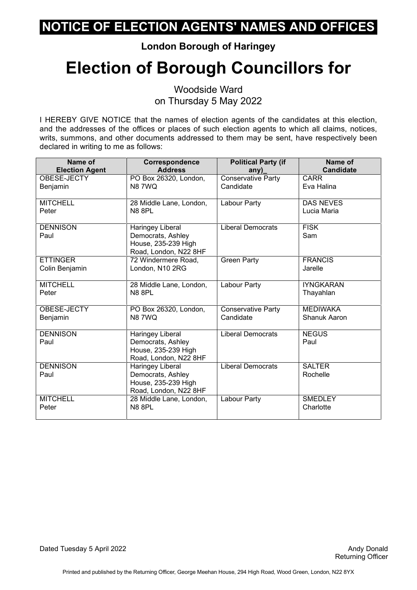**London Borough of Haringey**

# **Election of Borough Councillors for**

Woodside Ward on Thursday 5 May 2022

I HEREBY GIVE NOTICE that the names of election agents of the candidates at this election, and the addresses of the offices or places of such election agents to which all claims, notices, writs, summons, and other documents addressed to them may be sent, have respectively been declared in writing to me as follows:

| Name of<br><b>Election Agent</b> | Correspondence<br><b>Address</b>             | <b>Political Party (if</b><br>any) | Name of<br><b>Candidate</b> |
|----------------------------------|----------------------------------------------|------------------------------------|-----------------------------|
| OBESE-JECTY                      | PO Box 26320, London,                        | <b>Conservative Party</b>          | <b>CARR</b>                 |
| Benjamin                         | <b>N87WQ</b>                                 | Candidate                          | Eva Halina                  |
|                                  |                                              |                                    |                             |
| <b>MITCHELL</b>                  | 28 Middle Lane, London,                      | Labour Party                       | <b>DAS NEVES</b>            |
| Peter                            | <b>N8 8PL</b>                                |                                    | Lucia Maria                 |
| <b>DENNISON</b>                  | Haringey Liberal                             | <b>Liberal Democrats</b>           | <b>FISK</b>                 |
| Paul                             | Democrats, Ashley                            |                                    | Sam                         |
|                                  | House, 235-239 High                          |                                    |                             |
| <b>ETTINGER</b>                  | Road, London, N22 8HF<br>72 Windermere Road, |                                    | <b>FRANCIS</b>              |
| Colin Benjamin                   | London, N10 2RG                              | <b>Green Party</b>                 | Jarelle                     |
|                                  |                                              |                                    |                             |
| <b>MITCHELL</b>                  | 28 Middle Lane, London,                      | Labour Party                       | <b>IYNGKARAN</b>            |
| Peter                            | <b>N8 8PL</b>                                |                                    | Thayahlan                   |
| OBESE-JECTY                      | PO Box 26320, London,                        | <b>Conservative Party</b>          | <b>MEDIWAKA</b>             |
| Benjamin                         | <b>N87WQ</b>                                 | Candidate                          | <b>Shanuk Aaron</b>         |
| <b>DENNISON</b>                  | Haringey Liberal                             | <b>Liberal Democrats</b>           | <b>NEGUS</b>                |
| Paul                             | Democrats, Ashley                            |                                    | Paul                        |
|                                  | House, 235-239 High                          |                                    |                             |
|                                  | Road, London, N22 8HF                        |                                    |                             |
| <b>DENNISON</b><br>Paul          | <b>Haringey Liberal</b><br>Democrats, Ashley | <b>Liberal Democrats</b>           | <b>SALTER</b><br>Rochelle   |
|                                  | House, 235-239 High                          |                                    |                             |
|                                  | Road, London, N22 8HF                        |                                    |                             |
| <b>MITCHELL</b>                  | 28 Middle Lane, London,                      | Labour Party                       | <b>SMEDLEY</b>              |
| Peter                            | <b>N8 8PL</b>                                |                                    | Charlotte                   |
|                                  |                                              |                                    |                             |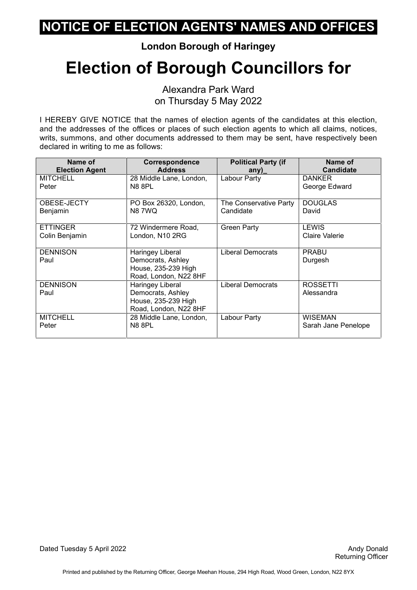**London Borough of Haringey**

# **Election of Borough Councillors for**

Alexandra Park Ward on Thursday 5 May 2022

| Name of               | <b>Correspondence</b>   | <b>Political Party (if</b> | Name of             |
|-----------------------|-------------------------|----------------------------|---------------------|
| <b>Election Agent</b> | <b>Address</b>          | any)                       | <b>Candidate</b>    |
| <b>MITCHELL</b>       | 28 Middle Lane, London, | Labour Party               | <b>DANKER</b>       |
| Peter                 | <b>N8 8PL</b>           |                            | George Edward       |
|                       |                         |                            |                     |
| OBESE-JECTY           | PO Box 26320, London,   | The Conservative Party     | <b>DOUGLAS</b>      |
| Benjamin              | <b>N87WQ</b>            | Candidate                  | David               |
| <b>ETTINGER</b>       | 72 Windermere Road,     | <b>Green Party</b>         | <b>LEWIS</b>        |
| Colin Benjamin        | London, N10 2RG         |                            | Claire Valerie      |
|                       |                         |                            |                     |
| <b>DENNISON</b>       | Haringey Liberal        | Liberal Democrats          | <b>PRABU</b>        |
| Paul                  | Democrats, Ashley       |                            | Durgesh             |
|                       | House, 235-239 High     |                            |                     |
|                       | Road, London, N22 8HF   |                            |                     |
| <b>DENNISON</b>       | Haringey Liberal        | <b>Liberal Democrats</b>   | <b>ROSSETTI</b>     |
| Paul                  | Democrats, Ashley       |                            | Alessandra          |
|                       | House, 235-239 High     |                            |                     |
|                       | Road, London, N22 8HF   |                            |                     |
| <b>MITCHELL</b>       | 28 Middle Lane, London, | Labour Party               | <b>WISEMAN</b>      |
| Peter                 | <b>N8 8PL</b>           |                            | Sarah Jane Penelope |
|                       |                         |                            |                     |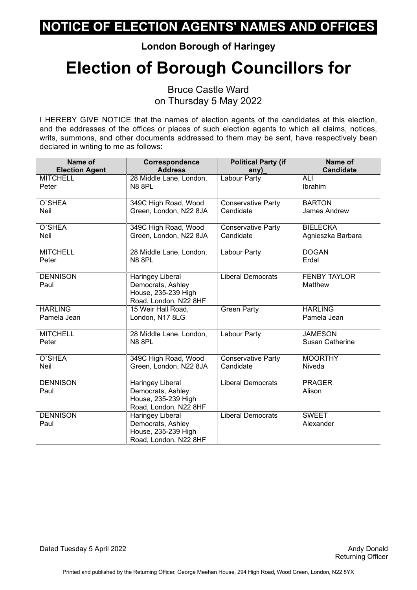**London Borough of Haringey**

# **Election of Borough Councillors for**

Bruce Castle Ward on Thursday 5 May 2022

I HEREBY GIVE NOTICE that the names of election agents of the candidates at this election, and the addresses of the offices or places of such election agents to which all claims, notices, writs, summons, and other documents addressed to them may be sent, have respectively been declared in writing to me as follows:

| Name of                 | Correspondence                                                                               | <b>Political Party (if</b> | Name of                        |
|-------------------------|----------------------------------------------------------------------------------------------|----------------------------|--------------------------------|
| <b>Election Agent</b>   | <b>Address</b>                                                                               | any)                       | <b>Candidate</b>               |
| <b>MITCHELL</b>         | 28 Middle Lane, London,                                                                      | Labour Party               | ALI                            |
| Peter                   | <b>N8 8PL</b>                                                                                |                            | Ibrahim                        |
| O'SHEA                  | 349C High Road, Wood                                                                         | Conservative Party         | <b>BARTON</b>                  |
| <b>Neil</b>             | Green, London, N22 8JA                                                                       | Candidate                  | James Andrew                   |
| O'SHEA                  | 349C High Road, Wood                                                                         | <b>Conservative Party</b>  | <b>BIELECKA</b>                |
| <b>Neil</b>             | Green, London, N22 8JA                                                                       | Candidate                  | Agnieszka Barbara              |
| <b>MITCHELL</b>         | 28 Middle Lane, London,                                                                      | Labour Party               | <b>DOGAN</b>                   |
| Peter                   | <b>N8 8PL</b>                                                                                |                            | Erdal                          |
| <b>DENNISON</b><br>Paul | Haringey Liberal<br>Democrats, Ashley<br>House, 235-239 High<br>Road, London, N22 8HF        | <b>Liberal Democrats</b>   | <b>FENBY TAYLOR</b><br>Matthew |
| <b>HARLING</b>          | 15 Weir Hall Road,                                                                           | <b>Green Party</b>         | <b>HARLING</b>                 |
| Pamela Jean             | London, N17 8LG                                                                              |                            | Pamela Jean                    |
| <b>MITCHELL</b>         | 28 Middle Lane, London,                                                                      | <b>Labour Party</b>        | <b>JAMESON</b>                 |
| Peter                   | <b>N8 8PL</b>                                                                                |                            | <b>Susan Catherine</b>         |
| O'SHEA                  | 349C High Road, Wood                                                                         | Conservative Party         | <b>MOORTHY</b>                 |
| Neil                    | Green, London, N22 8JA                                                                       | Candidate                  | Niveda                         |
| <b>DENNISON</b><br>Paul | Haringey Liberal<br>Democrats, Ashley<br>House, 235-239 High<br>Road, London, N22 8HF        | <b>Liberal Democrats</b>   | <b>PRAGER</b><br>Alison        |
| <b>DENNISON</b><br>Paul | <b>Haringey Liberal</b><br>Democrats, Ashley<br>House, 235-239 High<br>Road, London, N22 8HF | <b>Liberal Democrats</b>   | <b>SWEET</b><br>Alexander      |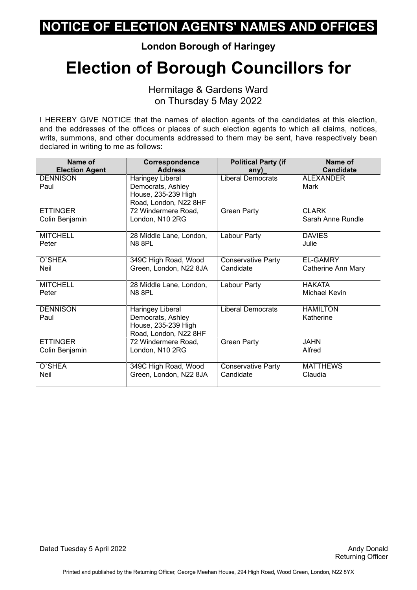**London Borough of Haringey**

## **Election of Borough Councillors for**

Hermitage & Gardens Ward on Thursday 5 May 2022

I HEREBY GIVE NOTICE that the names of election agents of the candidates at this election, and the addresses of the offices or places of such election agents to which all claims, notices, writs, summons, and other documents addressed to them may be sent, have respectively been declared in writing to me as follows:

| Name of                 | Correspondence                                                                        | <b>Political Party (if</b> | Name of                      |
|-------------------------|---------------------------------------------------------------------------------------|----------------------------|------------------------------|
| <b>Election Agent</b>   | <b>Address</b>                                                                        | any)                       | <b>Candidate</b>             |
| <b>DENNISON</b><br>Paul | Haringey Liberal<br>Democrats, Ashley<br>House, 235-239 High<br>Road, London, N22 8HF | Liberal Democrats          | <b>ALEXANDER</b><br>Mark     |
| <b>ETTINGER</b>         | 72 Windermere Road,                                                                   | <b>Green Party</b>         | <b>CLARK</b>                 |
| Colin Benjamin          | London, N10 2RG                                                                       |                            | Sarah Anne Rundle            |
| <b>MITCHELL</b>         | 28 Middle Lane, London,                                                               | Labour Party               | <b>DAVIES</b>                |
| Peter                   | <b>N8 8PL</b>                                                                         |                            | Julie                        |
| O'SHEA                  | 349C High Road, Wood                                                                  | <b>Conservative Party</b>  | <b>EL-GAMRY</b>              |
| <b>Neil</b>             | Green, London, N22 8JA                                                                | Candidate                  | Catherine Ann Mary           |
| <b>MITCHELL</b>         | 28 Middle Lane, London,                                                               | Labour Party               | <b>HAKATA</b>                |
| Peter                   | N8 8PL                                                                                |                            | Michael Kevin                |
| <b>DENNISON</b><br>Paul | Haringey Liberal<br>Democrats, Ashley<br>House, 235-239 High<br>Road, London, N22 8HF | <b>Liberal Democrats</b>   | <b>HAMILTON</b><br>Katherine |
| <b>ETTINGER</b>         | 72 Windermere Road,                                                                   | <b>Green Party</b>         | <b>JAHN</b>                  |
| Colin Benjamin          | London, N10 2RG                                                                       |                            | Alfred                       |
| O'SHEA                  | 349C High Road, Wood                                                                  | Conservative Party         | <b>MATTHEWS</b>              |
| <b>Neil</b>             | Green, London, N22 8JA                                                                | Candidate                  | Claudia                      |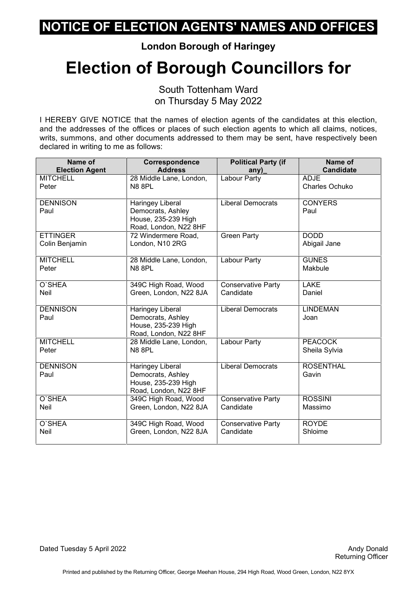**London Borough of Haringey**

## **Election of Borough Councillors for**

South Tottenham Ward on Thursday 5 May 2022

| Name of                 | Correspondence                                                                               | <b>Political Party (if</b> | <b>Name of</b>            |
|-------------------------|----------------------------------------------------------------------------------------------|----------------------------|---------------------------|
| <b>Election Agent</b>   | <b>Address</b>                                                                               |                            | <b>Candidate</b>          |
| <b>MITCHELL</b>         | 28 Middle Lane, London,                                                                      | any)<br>Labour Party       | <b>ADJE</b>               |
| Peter                   | <b>N8 8PL</b>                                                                                |                            | Charles Ochuko            |
| <b>DENNISON</b><br>Paul | <b>Haringey Liberal</b><br>Democrats, Ashley<br>House, 235-239 High<br>Road, London, N22 8HF | <b>Liberal Democrats</b>   | <b>CONYERS</b><br>Paul    |
| <b>ETTINGER</b>         | 72 Windermere Road,                                                                          | <b>Green Party</b>         | <b>DODD</b>               |
| Colin Benjamin          | London, N10 2RG                                                                              |                            | Abigail Jane              |
| <b>MITCHELL</b>         | 28 Middle Lane, London,                                                                      | Labour Party               | <b>GUNES</b>              |
| Peter                   | <b>N8 8PL</b>                                                                                |                            | Makbule                   |
| O'SHEA                  | 349C High Road, Wood                                                                         | <b>Conservative Party</b>  | <b>LAKE</b>               |
| Neil                    | Green, London, N22 8JA                                                                       | Candidate                  | Daniel                    |
| <b>DENNISON</b><br>Paul | Haringey Liberal<br>Democrats, Ashley<br>House, 235-239 High<br>Road, London, N22 8HF        | <b>Liberal Democrats</b>   | <b>LINDEMAN</b><br>Joan   |
| <b>MITCHELL</b>         | 28 Middle Lane, London,                                                                      | Labour Party               | <b>PEACOCK</b>            |
| Peter                   | <b>N8 8PL</b>                                                                                |                            | Sheila Sylvia             |
| <b>DENNISON</b><br>Paul | <b>Haringey Liberal</b><br>Democrats, Ashley<br>House, 235-239 High<br>Road, London, N22 8HF | <b>Liberal Democrats</b>   | <b>ROSENTHAL</b><br>Gavin |
| O'SHEA                  | 349C High Road, Wood                                                                         | <b>Conservative Party</b>  | <b>ROSSINI</b>            |
| <b>Neil</b>             | Green, London, N22 8JA                                                                       | Candidate                  | Massimo                   |
| O'SHEA                  | 349C High Road, Wood                                                                         | Conservative Party         | <b>ROYDE</b>              |
| <b>Neil</b>             | Green, London, N22 8JA                                                                       | Candidate                  | Shloime                   |